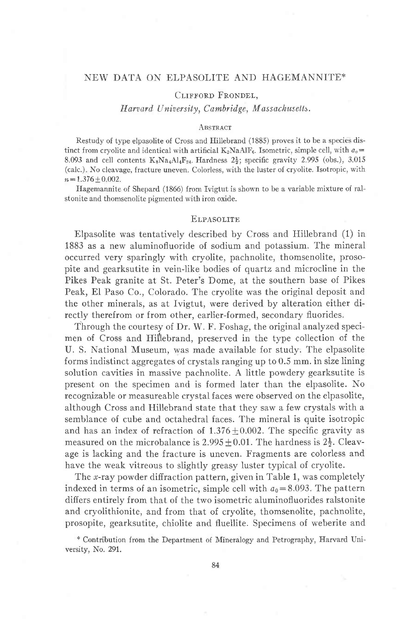## NEW DATA ON ELPASOLITE AND HAGEMANNITE\*

## CLIFFORD FRONDEL,

# Harvard University, Cambridge, Massachusetts.

#### ABSTRACT

Restudy of type elpasolite of Cross and Hillebrand (1885) proves it to be a species distinct from cryolite and identical with artificial  $K_2N\text{aAlF}_6$ . Isometric, simple cell, with  $a_0 =$ 8.093 and cell contents  $K_8Na_4Al_4F_{24}$ . Hardness  $2\frac{1}{2}$ ; specific gravity 2.995 (obs.), 3.015 (calc.). No cleavage, fracture uneven. Colorless, with the luster of cryolite. Isotropic, with  $n = 1.376 + 0.002$ .

Hagemannite of Shepard (1866) from Ivigtut is shown to be a variable mixture of ralstonite and thomsenolite pigmented with iron oxide.

### **ELPASOLITE**

Elpasolite was tentatively described by Cross and Hillebrand (1) in 1883 as a new aluminofluoride of sodium and potassium. The mineral occurred very sparingly with cryolite, pachnolite, thomsenolite, prosopite and gearksutite in vein-like bodies of quartz and microcline in the Pikes Peak granite at St. Peter's Dome, at the southern base of Pikes Peak, El Paso Co., Colorado. The cryolite was the original deposit and the other minerals, as at Ivigtut, were derived by alteration either directly therefrom or from other, earlier-formed, secondary fluorides.

Through the courtesy of Dr. W. F. Foshag, the original analyzed specimen of Cross and Hillebrand, preserved in the type collection of the U. S. National Museum, was made available for study. The elpasolite forms indistinct aggregates of crystals ranging up to 0.5 mm. in size lining solution cavities in massive pachnolite. A little powdery gearksutite is present on the specimen and is formed later than the elpasolite. No recognizable or measureable crystal faces were observed on the elpasolite, although Cross and Hillebrand state that they saw a few crystals with a semblance of cube and octahedral faces. The mineral is quite isotropic and has an index of refraction of  $1.376 + 0.002$ . The specific gravity as measured on the microbalance is  $2.995 \pm 0.01$ . The hardness is  $2\frac{1}{2}$ . Cleavage is lacking and the fracture is uneven. Fragments are colorless and have the weak vitreous to slightly greasy luster typical of cryolite.

The *x*-ray powder diffraction pattern, given in Table 1, was completely indexed in terms of an isometric, simple cell with  $a_0 = 8.093$ . The pattern differs entirely from that of the two isometric aluminofluorides ralstonite and cryolithionite, and from that of cryolite, thomsenolite, pachnolite, prosopite, gearksutite, chiolite and fluellite. Specimens of weberite and

\* Contribution from the Department of Mineralogy and Petrography, Harvard University, No. 291.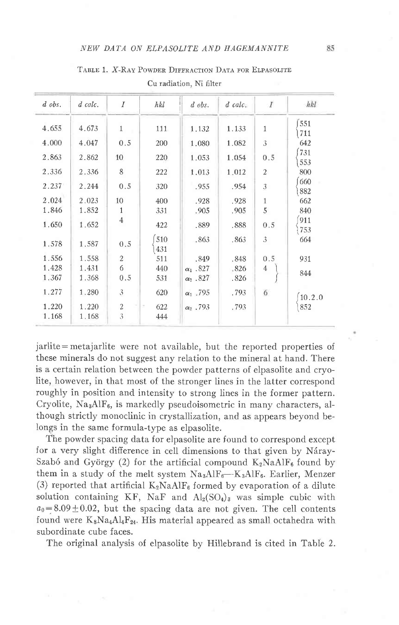| $d$ obs. | $d$ calc. | $\overline{I}$ | hkl        | $d$ obs.         | $d$ calc. | $\overline{I}$ | hkl        |
|----------|-----------|----------------|------------|------------------|-----------|----------------|------------|
| 4.655    | 4.673     | $\mathbf{1}$   | 111        | 1.132            | 1.133     | $\mathbf{1}$   | 551        |
| 4.000    | 4.047     | 0.5            | 200        | 1.080            | 1.082     | 3              | 711<br>642 |
| 2.863    | 2.862     | 10             | 220        | 1.053            | 1.054     | 0.5            | 731<br>553 |
| 2.336    | 2.336     | 8              | 222        | 1.013            | 1.012     | $\overline{2}$ | 800        |
| 2.237    | 2.244     | 0.5            | 320        | .955             | .954      | 3              | 660<br>882 |
| 2.024    | 2.023     | 10             | 400        | .928             | .928      | $\mathbf{1}$   | 662        |
| 1.846    | 1.852     | 1              | 331        | .905             | .905      | 5              | 840        |
| 1.650    | 1.652     | $\overline{4}$ | 422        | .889             | .888      | 0.5            | 911<br>753 |
| 1.578    | 1.587     | 0.5            | 510<br>431 | .863             | .863      | 3              | 664        |
| 1.556    | 1.558     | $\overline{2}$ | 511        | .849             | .848      | 0.5            | 931        |
| 1.428    | 1.431     | 6              | 440        | $\alpha_1$ .827  | .826      | $\overline{4}$ |            |
| 1.367    | 1.368     | 0.5            | 531        | $\alpha_2$ .827  | .826      |                | 844        |
| 1.277    | 1.280     | 3              | 620        | $\alpha_1$ , 795 | .793      | 6              | 10.2.0     |
| 1.220    | 1.220     | $\overline{2}$ | 622<br>×   | $\alpha_2$ . 793 | .793      |                | 852        |
| 1.168    | 1.168     | 3              | 444        |                  |           |                |            |

TABLE 1. X-RAY POWDER DIFFRACTION DATA FOR ELPASOLITE

Cu radiation, Ni filter

jarlite = metajarlite were not available, but the reported properties of these minerals do not suggest any relation to the mineral at hand. There is a certain relation between the powder patterns of elpasolite and cryolite, however, in that most of the stronger lines in the latter correspond roughly in position and intensity to strong lines in the former pattern. Cryolite, Na<sub>3</sub>AlF<sub>6</sub>, is markedly pseudoisometric in many characters, although strictly monoclinic in crystallization, and as appears beyond belongs in the same formula-type as elpasolite.

The powder spacing data for elpasolite are found to correspond except for a very slight difference in cell dimensions to that given by Náray-Szabó and György (2) for the artificial compound  $K_2NAHF_6$  found by them in a study of the melt system  $Na_3AlF_6-K_3AlF_6$ . Earlier, Menzer (3) reported that artificial  $K_2NA\mathrm{dF}_6$  formed by evaporation of a dilute solution containing KF, NaF and  $Al_2(SO_4)$  was simple cubic with  $a_0 = 8.09 \pm 0.02$ , but the spacing data are not given. The cell contents found were  $K_8Na_4Al_4F_{24}$ . His material appeared as small octahedra with subordinate cube faces.

The original analysis of elpasolite by Hillebrand is cited in Table 2.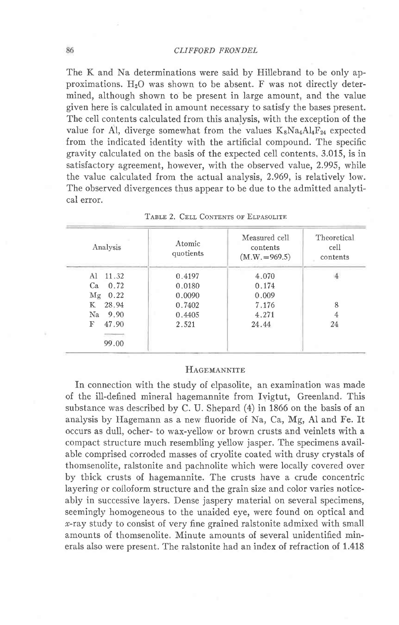The K and Na determinations were said by Hillebrand to be only approximations.  $H_2O$  was shown to be absent. F was not directly determined, although shown to be present in large amount, and the value given here is calculated in amount necessary to satisfy the bases present. The cell contents calculated from this analysis, with the exception of the value for Al, diverge somewhat from the values  $K_8Na_4Al_4F_{24}$  expected from the indicated identity with the artificial compound. The specific gravity calculated on the basis of the expected cell contents, 3.015, is in satisfactory agreement, however, with the observed value, 2.995, while the value calculated from the actual analysis, 2.969, is relatively low. The observed divergences thus appear to be due to the admitted analytical error.

| Analysis    | Atomic<br>quotients | Measured cell<br>contents<br>$(M.W. = 969.5)$ | Theoretical<br>cell<br>contents |
|-------------|---------------------|-----------------------------------------------|---------------------------------|
| 11.32<br>Al | 0.4197              | 4.070                                         |                                 |
| Ca<br>0.72  | 0.0180              | 0.174                                         |                                 |
| Mg<br>0.22  | 0.0090              | 0.009                                         |                                 |
| 28.94<br>К  | 0.7402              | 7.176                                         | 8                               |
| Na<br>9.90  | 0.4405              | 4.271                                         |                                 |
| F<br>47.90  | 2.521               | 24.44                                         | 24                              |
| 99.00       |                     |                                               |                                 |

TABLE 2, CELL CONTENTS OF ELPASOLITE

## **HAGEMANNITE**

In connection with the study of elpasolite, an examination was made of the ill-defined mineral hagemannite from Ivigtut, Greenland. This substance was described by C. U. Shepard (4) in 1866 on the basis of an analysis by Hagemann as a new fluoride of Na, Ca, Mg, AI and Fe. It occurs as dull, ocher- to wax-yellow or brown crusts and veinlets with a compact structure much resembling yellow jasper. The specimens available comprised corroded masses of cryolite coated with drusy crystals of thomsenolite, ralstonite and pachnolite which were locally covered over by thick crusts of hagemannite. The crusts have a crude concentric layering or colloform structure and the grain size and color varies noticeably in successive layers. Dense jaspery material on several specimens, seemingly homogeneous to the unaided eye, were found on optical and r-ray study to consist of very fine grained ralstonite admixed with small amounts of thomsenolite. Minute amounts of several unidentified minerals also were present. The ralstonite had an index of refraction of 1.418